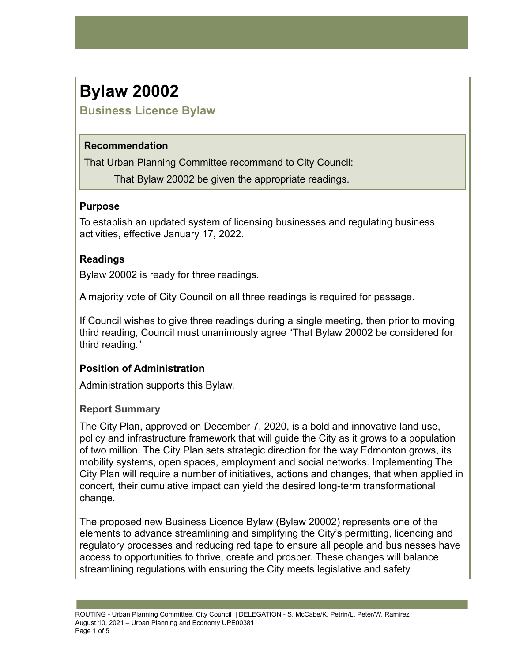# **Bylaw 20002**

**Business Licence Bylaw**

## **Recommendation**

That Urban Planning Committee recommend to City Council:

That Bylaw 20002 be given the appropriate readings.

## **Purpose**

To establish an updated system of licensing businesses and regulating business activities, effective January 17, 2022.

# **Readings**

Bylaw 20002 is ready for three readings.

A majority vote of City Council on all three readings is required for passage.

If Council wishes to give three readings during a single meeting, then prior to moving third reading, Council must unanimously agree "That Bylaw 20002 be considered for third reading."

# **Position of Administration**

Administration supports this Bylaw.

# **Report Summary**

The City Plan, approved on December 7, 2020, is a bold and innovative land use, policy and infrastructure framework that will guide the City as it grows to a population of two million. The City Plan sets strategic direction for the way Edmonton grows, its mobility systems, open spaces, employment and social networks. Implementing The City Plan will require a number of initiatives, actions and changes, that when applied in concert, their cumulative impact can yield the desired long-term transformational change.

The proposed new Business Licence Bylaw (Bylaw 20002) represents one of the elements to advance streamlining and simplifying the City's permitting, licencing and regulatory processes and reducing red tape to ensure all people and businesses have access to opportunities to thrive, create and prosper. These changes will balance streamlining regulations with ensuring the City meets legislative and safety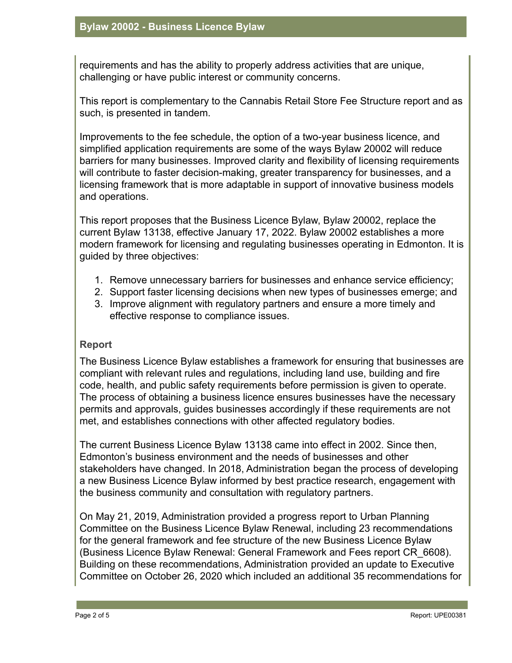requirements and has the ability to properly address activities that are unique, challenging or have public interest or community concerns.

This report is complementary to the Cannabis Retail Store Fee Structure report and as such, is presented in tandem.

Improvements to the fee schedule, the option of a two-year business licence, and simplified application requirements are some of the ways Bylaw 20002 will reduce barriers for many businesses. Improved clarity and flexibility of licensing requirements will contribute to faster decision-making, greater transparency for businesses, and a licensing framework that is more adaptable in support of innovative business models and operations.

This report proposes that the Business Licence Bylaw, Bylaw 20002, replace the current Bylaw 13138, effective January 17, 2022. Bylaw 20002 establishes a more modern framework for licensing and regulating businesses operating in Edmonton. It is guided by three objectives:

- 1. Remove unnecessary barriers for businesses and enhance service efficiency;
- 2. Support faster licensing decisions when new types of businesses emerge; and
- 3. Improve alignment with regulatory partners and ensure a more timely and effective response to compliance issues.

#### **Report**

The Business Licence Bylaw establishes a framework for ensuring that businesses are compliant with relevant rules and regulations, including land use, building and fire code, health, and public safety requirements before permission is given to operate. The process of obtaining a business licence ensures businesses have the necessary permits and approvals, guides businesses accordingly if these requirements are not met, and establishes connections with other affected regulatory bodies.

The current Business Licence Bylaw 13138 came into effect in 2002. Since then, Edmonton's business environment and the needs of businesses and other stakeholders have changed. In 2018, Administration began the process of developing a new Business Licence Bylaw informed by best practice research, engagement with the business community and consultation with regulatory partners.

On May 21, 2019, Administration provided a progress report to Urban Planning Committee on the Business Licence Bylaw Renewal, including 23 recommendations for the general framework and fee structure of the new Business Licence Bylaw (Business Licence Bylaw Renewal: General Framework and Fees report CR\_6608). Building on these recommendations, Administration provided an update to Executive Committee on October 26, 2020 which included an additional 35 recommendations for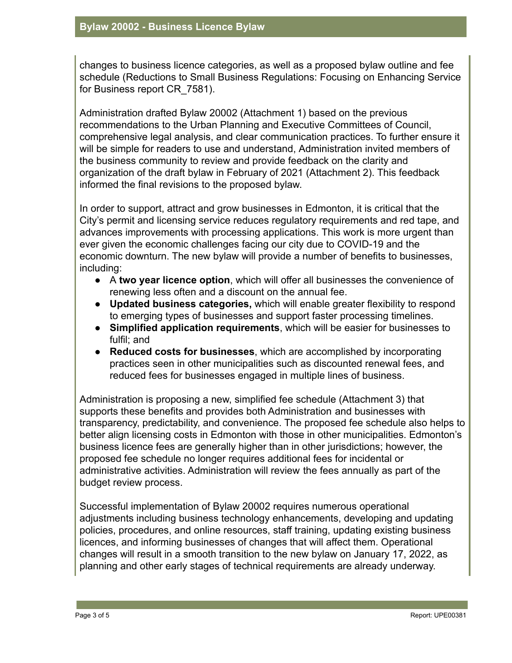changes to business licence categories, as well as a proposed bylaw outline and fee schedule (Reductions to Small Business Regulations: Focusing on Enhancing Service for Business report CR\_7581).

Administration drafted Bylaw 20002 (Attachment 1) based on the previous recommendations to the Urban Planning and Executive Committees of Council, comprehensive legal analysis, and clear communication practices. To further ensure it will be simple for readers to use and understand, Administration invited members of the business community to review and provide feedback on the clarity and organization of the draft bylaw in February of 2021 (Attachment 2). This feedback informed the final revisions to the proposed bylaw.

In order to support, attract and grow businesses in Edmonton, it is critical that the City's permit and licensing service reduces regulatory requirements and red tape, and advances improvements with processing applications. This work is more urgent than ever given the economic challenges facing our city due to COVID-19 and the economic downturn. The new bylaw will provide a number of benefits to businesses, including:

- A **two year licence option**, which will offer all businesses the convenience of renewing less often and a discount on the annual fee.
- **Updated business categories,** which will enable greater flexibility to respond to emerging types of businesses and support faster processing timelines.
- **Simplified application requirements**, which will be easier for businesses to fulfil; and
- **Reduced costs for businesses**, which are accomplished by incorporating practices seen in other municipalities such as discounted renewal fees, and reduced fees for businesses engaged in multiple lines of business.

Administration is proposing a new, simplified fee schedule (Attachment 3) that supports these benefits and provides both Administration and businesses with transparency, predictability, and convenience. The proposed fee schedule also helps to better align licensing costs in Edmonton with those in other municipalities. Edmonton's business licence fees are generally higher than in other jurisdictions; however, the proposed fee schedule no longer requires additional fees for incidental or administrative activities. Administration will review the fees annually as part of the budget review process.

Successful implementation of Bylaw 20002 requires numerous operational adjustments including business technology enhancements, developing and updating policies, procedures, and online resources, staff training, updating existing business licences, and informing businesses of changes that will affect them. Operational changes will result in a smooth transition to the new bylaw on January 17, 2022, as planning and other early stages of technical requirements are already underway.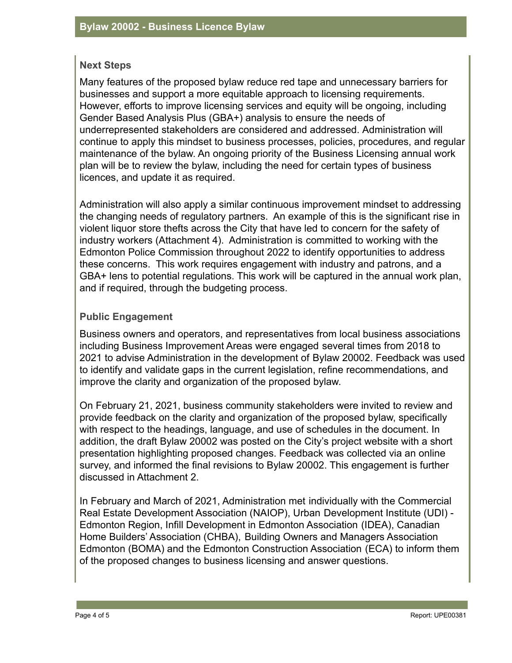## **Next Steps**

Many features of the proposed bylaw reduce red tape and unnecessary barriers for businesses and support a more equitable approach to licensing requirements. However, efforts to improve licensing services and equity will be ongoing, including Gender Based Analysis Plus (GBA+) analysis to ensure the needs of underrepresented stakeholders are considered and addressed. Administration will continue to apply this mindset to business processes, policies, procedures, and regular maintenance of the bylaw. An ongoing priority of the Business Licensing annual work plan will be to review the bylaw, including the need for certain types of business licences, and update it as required.

Administration will also apply a similar continuous improvement mindset to addressing the changing needs of regulatory partners. An example of this is the significant rise in violent liquor store thefts across the City that have led to concern for the safety of industry workers (Attachment 4). Administration is committed to working with the Edmonton Police Commission throughout 2022 to identify opportunities to address these concerns. This work requires engagement with industry and patrons, and a GBA+ lens to potential regulations. This work will be captured in the annual work plan, and if required, through the budgeting process.

## **Public Engagement**

Business owners and operators, and representatives from local business associations including Business Improvement Areas were engaged several times from 2018 to 2021 to advise Administration in the development of Bylaw 20002. Feedback was used to identify and validate gaps in the current legislation, refine recommendations, and improve the clarity and organization of the proposed bylaw.

On February 21, 2021, business community stakeholders were invited to review and provide feedback on the clarity and organization of the proposed bylaw, specifically with respect to the headings, language, and use of schedules in the document. In addition, the draft Bylaw 20002 was posted on the City's project website with a short presentation highlighting proposed changes. Feedback was collected via an online survey, and informed the final revisions to Bylaw 20002. This engagement is further discussed in Attachment 2.

In February and March of 2021, Administration met individually with the Commercial Real Estate Development Association (NAIOP), Urban Development Institute (UDI) - Edmonton Region, Infill Development in Edmonton Association (IDEA), Canadian Home Builders' Association (CHBA), Building Owners and Managers Association Edmonton (BOMA) and the Edmonton Construction Association (ECA) to inform them of the proposed changes to business licensing and answer questions.